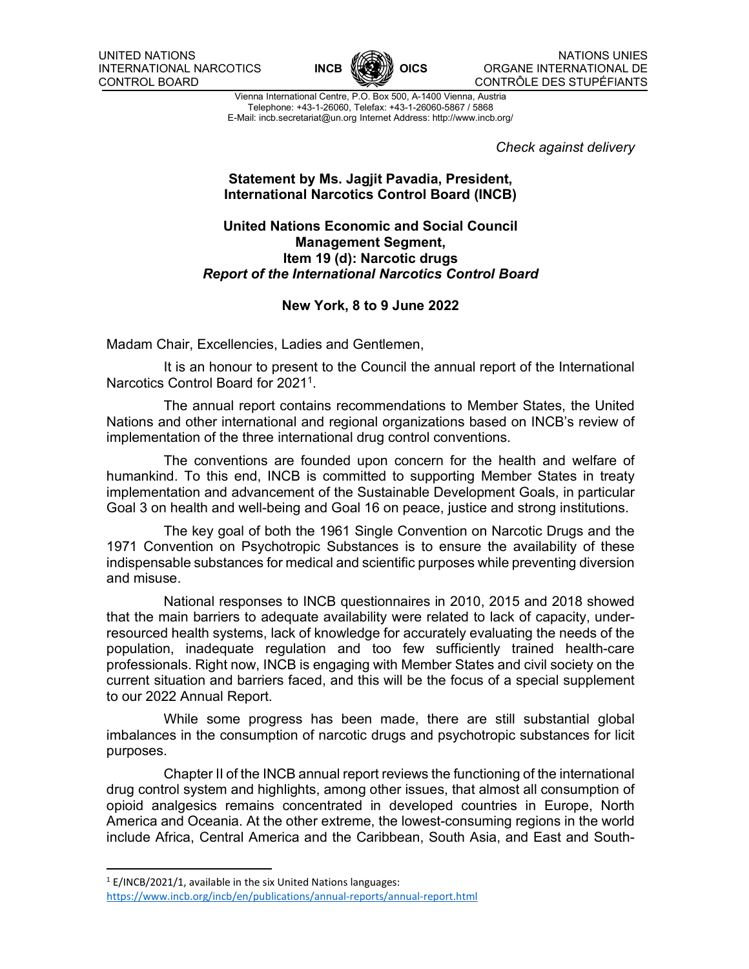

NATIONS UNIES ORGANE INTERNATIONAL DE CONTRÔLE DES STUPÉFIANTS

Vienna International Centre, P.O. Box 500, A-1400 Vienna, Austria Telephone: +43-1-26060, Telefax: +43-1-26060-5867 / 5868 E-Mail: incb.secretariat@un.org Internet Address: http://www.incb.org/

*Check against delivery*

## **Statement by Ms. Jagjit Pavadia, President, International Narcotics Control Board (INCB)**

## **United Nations Economic and Social Council Management Segment, Item 19 (d): Narcotic drugs** *Report of the International Narcotics Control Board*

## **New York, 8 to 9 June 2022**

Madam Chair, Excellencies, Ladies and Gentlemen,

It is an honour to present to the Council the annual report of the International Narcotics Control Board for 2021<sup>1</sup>.

The annual report contains recommendations to Member States, the United Nations and other international and regional organizations based on INCB's review of implementation of the three international drug control conventions.

The conventions are founded upon concern for the health and welfare of humankind. To this end, INCB is committed to supporting Member States in treaty implementation and advancement of the Sustainable Development Goals, in particular Goal 3 on health and well-being and Goal 16 on peace, justice and strong institutions.

The key goal of both the 1961 Single Convention on Narcotic Drugs and the 1971 Convention on Psychotropic Substances is to ensure the availability of these indispensable substances for medical and scientific purposes while preventing diversion and misuse.

National responses to INCB questionnaires in 2010, 2015 and 2018 showed that the main barriers to adequate availability were related to lack of capacity, underresourced health systems, lack of knowledge for accurately evaluating the needs of the population, inadequate regulation and too few sufficiently trained health-care professionals. Right now, INCB is engaging with Member States and civil society on the current situation and barriers faced, and this will be the focus of a special supplement to our 2022 Annual Report.

While some progress has been made, there are still substantial global imbalances in the consumption of narcotic drugs and psychotropic substances for licit purposes.

Chapter II of the INCB annual report reviews the functioning of the international drug control system and highlights, among other issues, that almost all consumption of opioid analgesics remains concentrated in developed countries in Europe, North America and Oceania. At the other extreme, the lowest-consuming regions in the world include Africa, Central America and the Caribbean, South Asia, and East and South-

<sup>1</sup> E/INCB/2021/1, available in the six United Nations languages:

https://www.incb.org/incb/en/publications/annual-reports/annual-report.html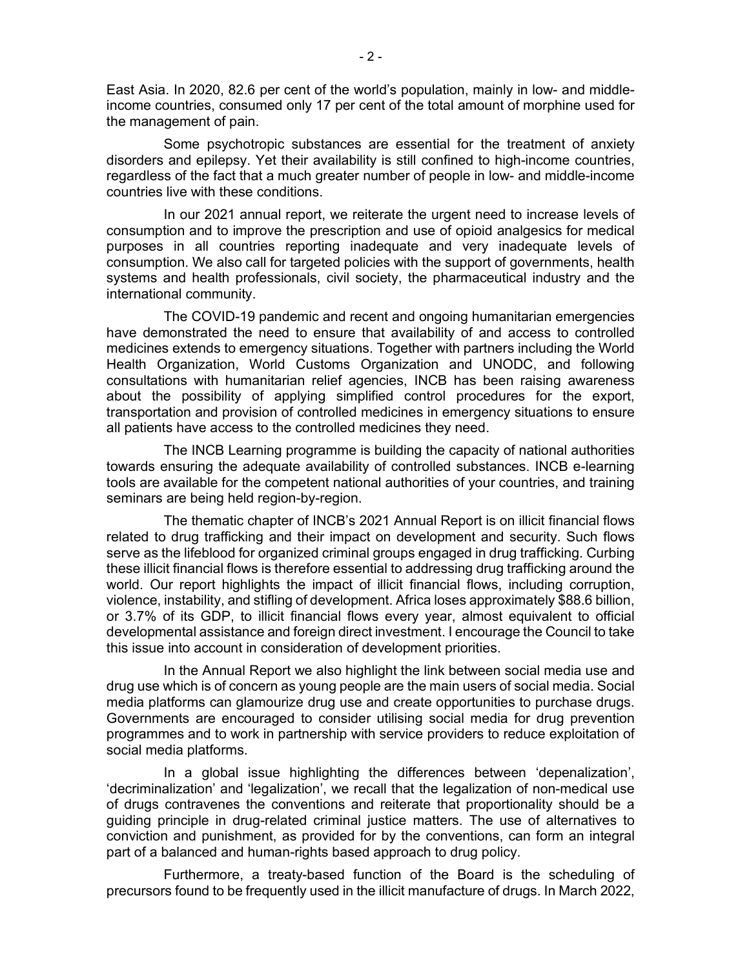East Asia. In 2020, 82.6 per cent of the world's population, mainly in low- and middleincome countries, consumed only 17 per cent of the total amount of morphine used for the management of pain.

Some psychotropic substances are essential for the treatment of anxiety disorders and epilepsy. Yet their availability is still confined to high-income countries, regardless of the fact that a much greater number of people in low- and middle-income countries live with these conditions.

In our 2021 annual report, we reiterate the urgent need to increase levels of consumption and to improve the prescription and use of opioid analgesics for medical purposes in all countries reporting inadequate and very inadequate levels of consumption. We also call for targeted policies with the support of governments, health systems and health professionals, civil society, the pharmaceutical industry and the international community.

The COVID-19 pandemic and recent and ongoing humanitarian emergencies have demonstrated the need to ensure that availability of and access to controlled medicines extends to emergency situations. Together with partners including the World Health Organization, World Customs Organization and UNODC, and following consultations with humanitarian relief agencies, INCB has been raising awareness about the possibility of applying simplified control procedures for the export, transportation and provision of controlled medicines in emergency situations to ensure all patients have access to the controlled medicines they need.

The INCB Learning programme is building the capacity of national authorities towards ensuring the adequate availability of controlled substances. INCB e-learning tools are available for the competent national authorities of your countries, and training seminars are being held region-by-region.

The thematic chapter of INCB's 2021 Annual Report is on illicit financial flows related to drug trafficking and their impact on development and security. Such flows serve as the lifeblood for organized criminal groups engaged in drug trafficking. Curbing these illicit financial flows is therefore essential to addressing drug trafficking around the world. Our report highlights the impact of illicit financial flows, including corruption, violence, instability, and stifling of development. Africa loses approximately \$88.6 billion, or 3.7% of its GDP, to illicit financial flows every year, almost equivalent to official developmental assistance and foreign direct investment. I encourage the Council to take this issue into account in consideration of development priorities.

In the Annual Report we also highlight the link between social media use and drug use which is of concern as young people are the main users of social media. Social media platforms can glamourize drug use and create opportunities to purchase drugs. Governments are encouraged to consider utilising social media for drug prevention programmes and to work in partnership with service providers to reduce exploitation of social media platforms.

In a global issue highlighting the differences between 'depenalization', 'decriminalization' and 'legalization', we recall that the legalization of non-medical use of drugs contravenes the conventions and reiterate that proportionality should be a guiding principle in drug-related criminal justice matters. The use of alternatives to conviction and punishment, as provided for by the conventions, can form an integral part of a balanced and human-rights based approach to drug policy.

Furthermore, a treaty-based function of the Board is the scheduling of precursors found to be frequently used in the illicit manufacture of drugs. In March 2022,